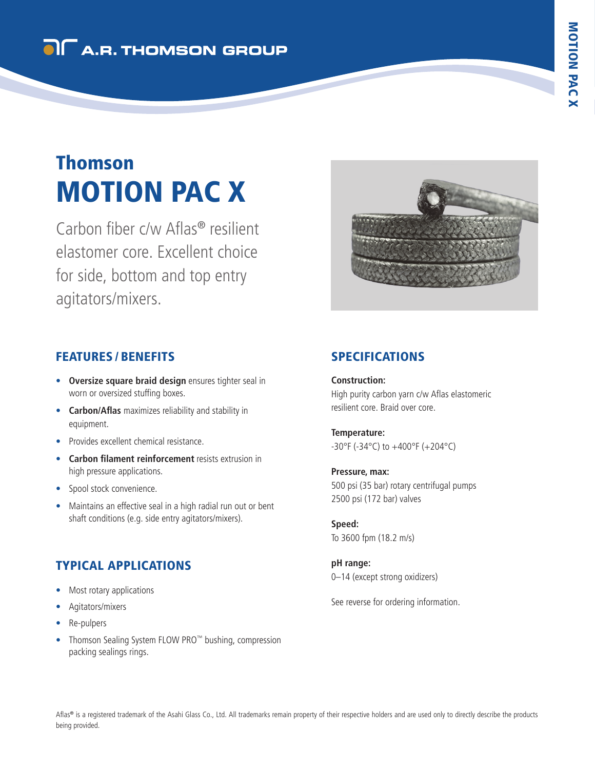## **OI** A.R. THOMSON GROUP

# MOTION PAC X Thomson

Carbon fiber c/w Aflas® resilient elastomer core. Excellent choice for side, bottom and top entry agitators/mixers.



#### FEATURES / BENEFITS

- **Oversize square braid design** ensures tighter seal in worn or oversized stuffing boxes.
- **Carbon/Aflas** maximizes reliability and stability in equipment.
- Provides excellent chemical resistance.
- **Carbon filament reinforcement** resists extrusion in high pressure applications.
- Spool stock convenience.
- Maintains an effective seal in a high radial run out or bent shaft conditions (e.g. side entry agitators/mixers).

### TYPICAL APPLICATIONS

- Most rotary applications
- Agitators/mixers
- Re-pulpers
- Thomson Sealing System FLOW PRO™ bushing, compression packing sealings rings.

#### SPECIFICATIONS

**Construction:** High purity carbon yarn c/w Aflas elastomeric resilient core. Braid over core.

**Temperature:** -30°F (-34°C) to +400°F (+204°C)

#### **Pressure, max:**

500 psi (35 bar) rotary centrifugal pumps 2500 psi (172 bar) valves

**Speed:** To 3600 fpm (18.2 m/s)

**pH range:** 0–14 (except strong oxidizers)

See reverse for ordering information.

Aflas® is a registered trademark of the Asahi Glass Co., Ltd. All trademarks remain property of their respective holders and are used only to directly describe the products being provided.